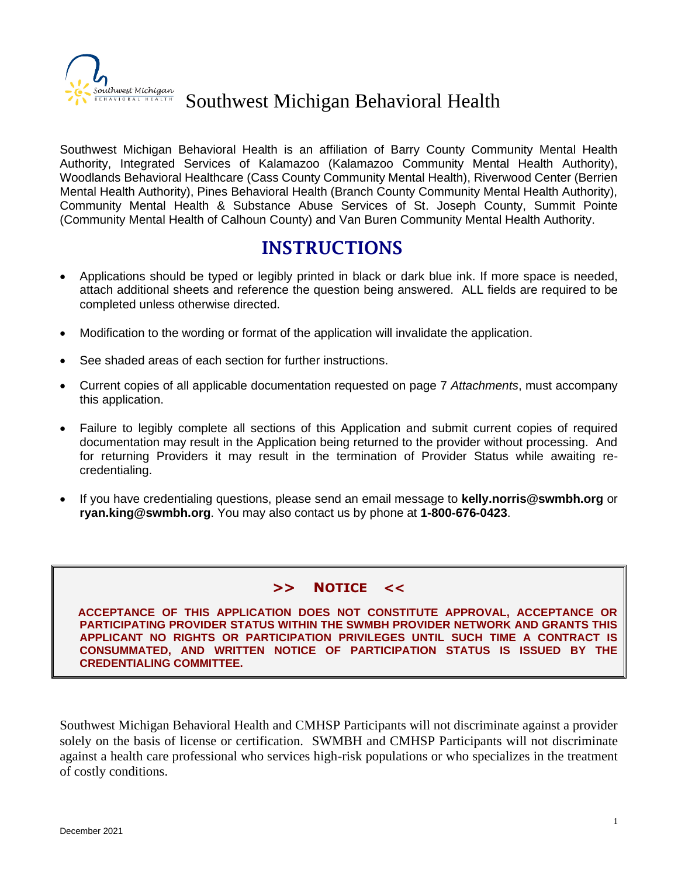

# Southwest Michigan Behavioral Health

Southwest Michigan Behavioral Health is an affiliation of Barry County Community Mental Health Authority, Integrated Services of Kalamazoo (Kalamazoo Community Mental Health Authority), Woodlands Behavioral Healthcare (Cass County Community Mental Health), Riverwood Center (Berrien Mental Health Authority), Pines Behavioral Health (Branch County Community Mental Health Authority), Community Mental Health & Substance Abuse Services of St. Joseph County, Summit Pointe (Community Mental Health of Calhoun County) and Van Buren Community Mental Health Authority.

### INSTRUCTIONS

- Applications should be typed or legibly printed in black or dark blue ink. If more space is needed, attach additional sheets and reference the question being answered. ALL fields are required to be completed unless otherwise directed.
- Modification to the wording or format of the application will invalidate the application.
- See shaded areas of each section for further instructions.
- Current copies of all applicable documentation requested on page 7 *Attachments*, must accompany this application.
- Failure to legibly complete all sections of this Application and submit current copies of required documentation may result in the Application being returned to the provider without processing. And for returning Providers it may result in the termination of Provider Status while awaiting recredentialing.
- If you have credentialing questions, please send an email message to **[kelly.norris@swmbh.org](mailto:kelly.norris@swmbh.org)** or **ryan.king@swmbh.org**. You may also contact us by phone at **1-800-676-0423**.

#### **>> NOTICE <<**

 **ACCEPTANCE OF THIS APPLICATION DOES NOT CONSTITUTE APPROVAL, ACCEPTANCE OR PARTICIPATING PROVIDER STATUS WITHIN THE SWMBH PROVIDER NETWORK AND GRANTS THIS APPLICANT NO RIGHTS OR PARTICIPATION PRIVILEGES UNTIL SUCH TIME A CONTRACT IS CONSUMMATED, AND WRITTEN NOTICE OF PARTICIPATION STATUS IS ISSUED BY THE CREDENTIALING COMMITTEE.**

Southwest Michigan Behavioral Health and CMHSP Participants will not discriminate against a provider solely on the basis of license or certification. SWMBH and CMHSP Participants will not discriminate against a health care professional who services high-risk populations or who specializes in the treatment of costly conditions.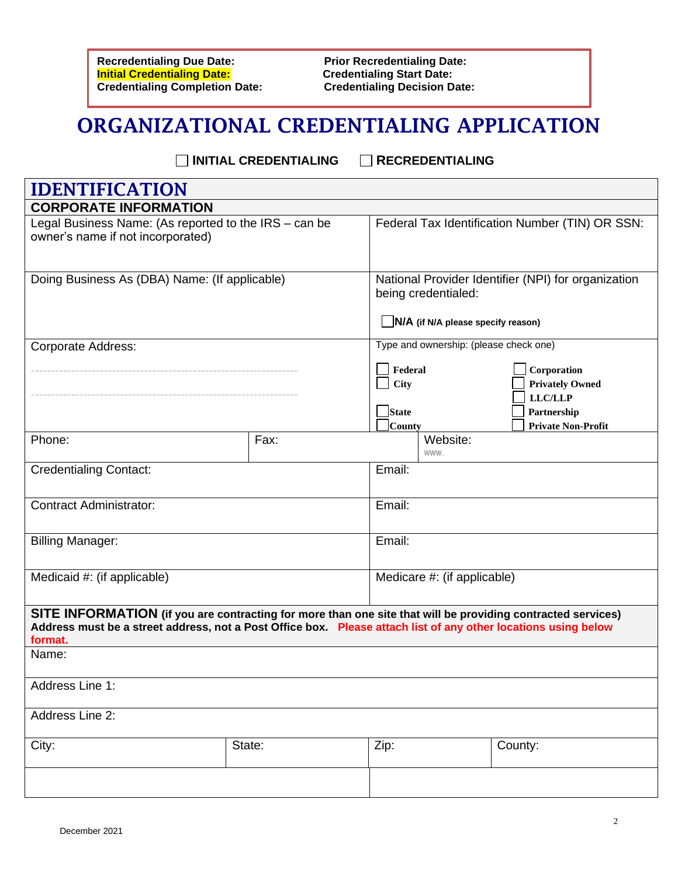**Recredentialing Due Date:** Prior Recredentialing Date:<br> **Prior Recredentialing Date:** Credentialing Start Date: **Initial Credentialing Date:** Credentialing Start Date:<br>
Credentialing Completion Date: Credentialing Decision Date: **Credentialing Completion Date:** 

# ORGANIZATIONAL CREDENTIALING APPLICATION

**INITIAL CREDENTIALING RECREDENTIALING**

| <b>IDENTIFICATION</b>                                                                                                                                                                                                                    |        |                                                                                                                  |                                                                                                     |  |
|------------------------------------------------------------------------------------------------------------------------------------------------------------------------------------------------------------------------------------------|--------|------------------------------------------------------------------------------------------------------------------|-----------------------------------------------------------------------------------------------------|--|
| <b>CORPORATE INFORMATION</b>                                                                                                                                                                                                             |        |                                                                                                                  |                                                                                                     |  |
| Legal Business Name: (As reported to the IRS - can be<br>owner's name if not incorporated)                                                                                                                                               |        | Federal Tax Identification Number (TIN) OR SSN:                                                                  |                                                                                                     |  |
| Doing Business As (DBA) Name: (If applicable)                                                                                                                                                                                            |        | National Provider Identifier (NPI) for organization<br>being credentialed:<br>N/A (if N/A please specify reason) |                                                                                                     |  |
| <b>Corporate Address:</b>                                                                                                                                                                                                                |        | Type and ownership: (please check one)<br>Federal<br>City<br><b>State</b><br><b>County</b>                       | Corporation<br><b>Privately Owned</b><br><b>LLC/LLP</b><br>Partnership<br><b>Private Non-Profit</b> |  |
| Phone:                                                                                                                                                                                                                                   | Fax:   | Website:<br>WWW.                                                                                                 |                                                                                                     |  |
| <b>Credentialing Contact:</b>                                                                                                                                                                                                            |        | Email:                                                                                                           |                                                                                                     |  |
| <b>Contract Administrator:</b>                                                                                                                                                                                                           |        | Email:                                                                                                           |                                                                                                     |  |
| <b>Billing Manager:</b>                                                                                                                                                                                                                  |        | Email:                                                                                                           |                                                                                                     |  |
| Medicaid #: (if applicable)                                                                                                                                                                                                              |        | Medicare #: (if applicable)                                                                                      |                                                                                                     |  |
| SITE INFORMATION (if you are contracting for more than one site that will be providing contracted services)<br>Address must be a street address, not a Post Office box. Please attach list of any other locations using below<br>format. |        |                                                                                                                  |                                                                                                     |  |
| Name:                                                                                                                                                                                                                                    |        |                                                                                                                  |                                                                                                     |  |
| Address Line 1:                                                                                                                                                                                                                          |        |                                                                                                                  |                                                                                                     |  |
| Address Line 2:                                                                                                                                                                                                                          |        |                                                                                                                  |                                                                                                     |  |
| City:                                                                                                                                                                                                                                    | State: | Zip:                                                                                                             | County:                                                                                             |  |
|                                                                                                                                                                                                                                          |        |                                                                                                                  |                                                                                                     |  |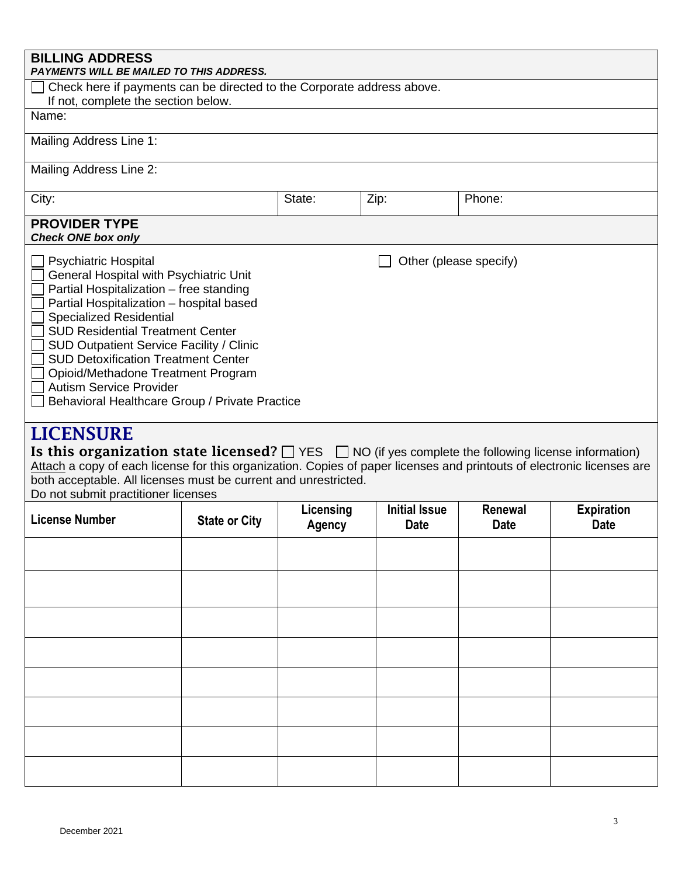| <b>BILLING ADDRESS</b><br>PAYMENTS WILL BE MAILED TO THIS ADDRESS.                                                                                                                                                                                                                                                                                                                                                                                                                                                 |                      |                            |                                     |                        |                                  |
|--------------------------------------------------------------------------------------------------------------------------------------------------------------------------------------------------------------------------------------------------------------------------------------------------------------------------------------------------------------------------------------------------------------------------------------------------------------------------------------------------------------------|----------------------|----------------------------|-------------------------------------|------------------------|----------------------------------|
| Check here if payments can be directed to the Corporate address above.<br>If not, complete the section below.                                                                                                                                                                                                                                                                                                                                                                                                      |                      |                            |                                     |                        |                                  |
| Name:                                                                                                                                                                                                                                                                                                                                                                                                                                                                                                              |                      |                            |                                     |                        |                                  |
| Mailing Address Line 1:                                                                                                                                                                                                                                                                                                                                                                                                                                                                                            |                      |                            |                                     |                        |                                  |
| Mailing Address Line 2:                                                                                                                                                                                                                                                                                                                                                                                                                                                                                            |                      |                            |                                     |                        |                                  |
| City:                                                                                                                                                                                                                                                                                                                                                                                                                                                                                                              |                      | State:                     | Zip:                                | Phone:                 |                                  |
| <b>PROVIDER TYPE</b><br><b>Check ONE box only</b>                                                                                                                                                                                                                                                                                                                                                                                                                                                                  |                      |                            |                                     |                        |                                  |
| Other (please specify)<br><b>Psychiatric Hospital</b><br>General Hospital with Psychiatric Unit<br>Partial Hospitalization - free standing<br>Partial Hospitalization - hospital based<br><b>Specialized Residential</b><br><b>SUD Residential Treatment Center</b><br><b>SUD Outpatient Service Facility / Clinic</b><br><b>SUD Detoxification Treatment Center</b><br>Opioid/Methadone Treatment Program<br><b>Autism Service Provider</b><br>Behavioral Healthcare Group / Private Practice<br><b>LICENSURE</b> |                      |                            |                                     |                        |                                  |
| Is this organization state licensed? $\Box$ YES $\Box$ NO (if yes complete the following license information)<br>Attach a copy of each license for this organization. Copies of paper licenses and printouts of electronic licenses are<br>both acceptable. All licenses must be current and unrestricted.<br>Do not submit practitioner licenses                                                                                                                                                                  |                      |                            |                                     |                        |                                  |
| <b>License Number</b>                                                                                                                                                                                                                                                                                                                                                                                                                                                                                              | <b>State or City</b> | Licensing<br><b>Agency</b> | <b>Initial Issue</b><br><b>Date</b> | Renewal<br><b>Date</b> | <b>Expiration</b><br><b>Date</b> |
|                                                                                                                                                                                                                                                                                                                                                                                                                                                                                                                    |                      |                            |                                     |                        |                                  |
|                                                                                                                                                                                                                                                                                                                                                                                                                                                                                                                    |                      |                            |                                     |                        |                                  |
|                                                                                                                                                                                                                                                                                                                                                                                                                                                                                                                    |                      |                            |                                     |                        |                                  |
|                                                                                                                                                                                                                                                                                                                                                                                                                                                                                                                    |                      |                            |                                     |                        |                                  |
|                                                                                                                                                                                                                                                                                                                                                                                                                                                                                                                    |                      |                            |                                     |                        |                                  |
|                                                                                                                                                                                                                                                                                                                                                                                                                                                                                                                    |                      |                            |                                     |                        |                                  |
|                                                                                                                                                                                                                                                                                                                                                                                                                                                                                                                    |                      |                            |                                     |                        |                                  |
|                                                                                                                                                                                                                                                                                                                                                                                                                                                                                                                    |                      |                            |                                     |                        |                                  |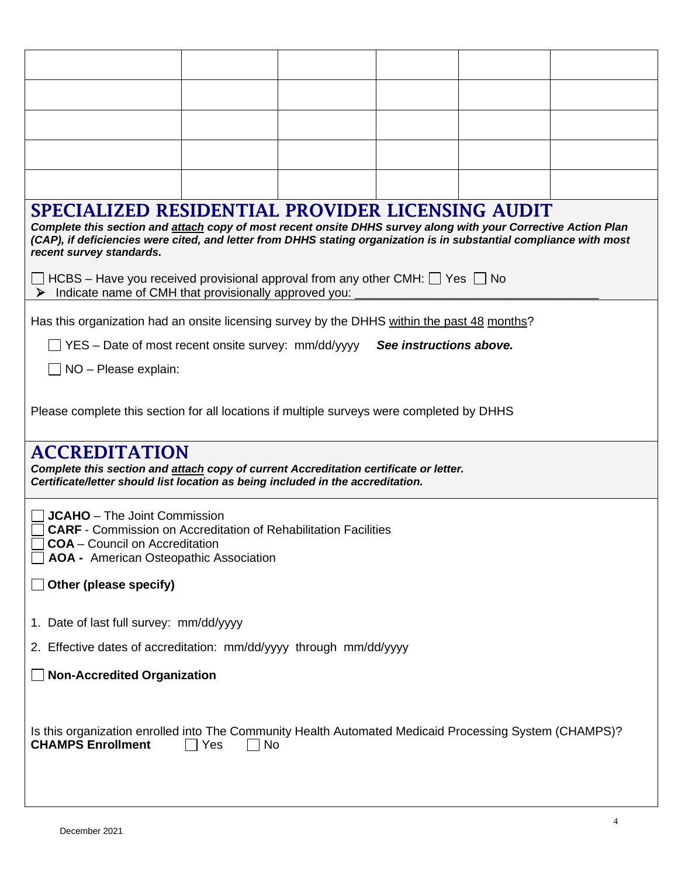| SPECIALIZED RESIDENTIAL PROVIDER LICENSING AUDIT<br>Complete this section and attach copy of most recent onsite DHHS survey along with your Corrective Action Plan<br>(CAP), if deficiencies were cited, and letter from DHHS stating organization is in substantial compliance with most<br>recent survey standards. |           |  |                         |  |  |
|-----------------------------------------------------------------------------------------------------------------------------------------------------------------------------------------------------------------------------------------------------------------------------------------------------------------------|-----------|--|-------------------------|--|--|
| $\Box$ HCBS – Have you received provisional approval from any other CMH: $\Box$ Yes $\Box$ No<br>Indicate name of CMH that provisionally approved you:<br>➤                                                                                                                                                           |           |  |                         |  |  |
| Has this organization had an onsite licensing survey by the DHHS within the past 48 months?                                                                                                                                                                                                                           |           |  |                         |  |  |
| $\Box$ YES – Date of most recent onsite survey: mm/dd/yyyy                                                                                                                                                                                                                                                            |           |  | See instructions above. |  |  |
| NO - Please explain:                                                                                                                                                                                                                                                                                                  |           |  |                         |  |  |
| Please complete this section for all locations if multiple surveys were completed by DHHS                                                                                                                                                                                                                             |           |  |                         |  |  |
| <b>ACCREDITATION</b><br>Complete this section and attach copy of current Accreditation certificate or letter.<br>Certificate/letter should list location as being included in the accreditation.                                                                                                                      |           |  |                         |  |  |
| <b>JCAHO</b> – The Joint Commission<br><b>CARF</b> - Commission on Accreditation of Rehabilitation Facilities<br><b>COA</b> - Council on Accreditation<br>AOA - American Osteopathic Association                                                                                                                      |           |  |                         |  |  |
| Other (please specify)                                                                                                                                                                                                                                                                                                |           |  |                         |  |  |
| 1. Date of last full survey: mm/dd/yyyy                                                                                                                                                                                                                                                                               |           |  |                         |  |  |
| 2. Effective dates of accreditation: mm/dd/yyyy through mm/dd/yyyy                                                                                                                                                                                                                                                    |           |  |                         |  |  |
| <b>Non-Accredited Organization</b>                                                                                                                                                                                                                                                                                    |           |  |                         |  |  |
| Is this organization enrolled into The Community Health Automated Medicaid Processing System (CHAMPS)?<br><b>CHAMPS Enrollment</b>                                                                                                                                                                                    | Yes<br>No |  |                         |  |  |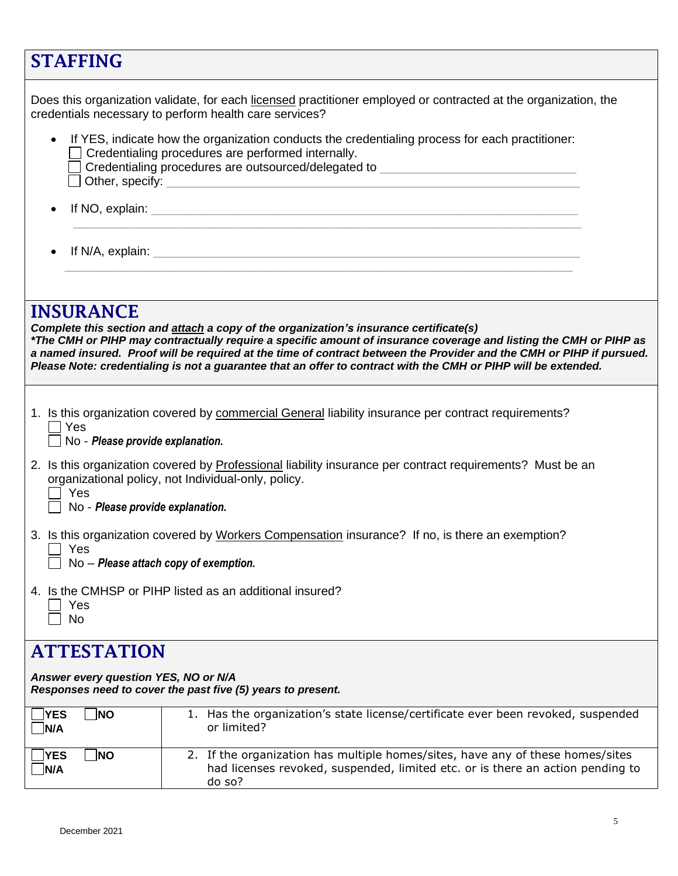| <b>STAFFING</b>                                                                                                                                  |                                                                                                                                                                                                                                                                                                                                                                                                                                                       |  |  |
|--------------------------------------------------------------------------------------------------------------------------------------------------|-------------------------------------------------------------------------------------------------------------------------------------------------------------------------------------------------------------------------------------------------------------------------------------------------------------------------------------------------------------------------------------------------------------------------------------------------------|--|--|
|                                                                                                                                                  | Does this organization validate, for each licensed practitioner employed or contracted at the organization, the<br>credentials necessary to perform health care services?                                                                                                                                                                                                                                                                             |  |  |
| $\bullet$                                                                                                                                        | If YES, indicate how the organization conducts the credentialing process for each practitioner:<br>Credentialing procedures are performed internally.<br>Credentialing procedures are outsourced/delegated to ___________________________                                                                                                                                                                                                             |  |  |
| $\bullet$                                                                                                                                        |                                                                                                                                                                                                                                                                                                                                                                                                                                                       |  |  |
|                                                                                                                                                  |                                                                                                                                                                                                                                                                                                                                                                                                                                                       |  |  |
| <b>INSURANCE</b>                                                                                                                                 | Complete this section and attach a copy of the organization's insurance certificate(s)<br>*The CMH or PIHP may contractually require a specific amount of insurance coverage and listing the CMH or PIHP as<br>a named insured. Proof will be required at the time of contract between the Provider and the CMH or PIHP if pursued.<br>Please Note: credentialing is not a guarantee that an offer to contract with the CMH or PIHP will be extended. |  |  |
| $\sqsupset$ Yes<br>No - Please provide explanation.                                                                                              | 1. Is this organization covered by commercial General liability insurance per contract requirements?                                                                                                                                                                                                                                                                                                                                                  |  |  |
| Yes<br>No - Please provide explanation.                                                                                                          | 2. Is this organization covered by Professional liability insurance per contract requirements? Must be an<br>organizational policy, not Individual-only, policy.                                                                                                                                                                                                                                                                                      |  |  |
| 3. Is this organization covered by Workers Compensation insurance? If no, is there an exemption?<br>Yes<br>No - Please attach copy of exemption. |                                                                                                                                                                                                                                                                                                                                                                                                                                                       |  |  |
| Yes<br>No                                                                                                                                        | 4. Is the CMHSP or PIHP listed as an additional insured?                                                                                                                                                                                                                                                                                                                                                                                              |  |  |
| <b>ATTESTATION</b>                                                                                                                               |                                                                                                                                                                                                                                                                                                                                                                                                                                                       |  |  |
| Answer every question YES, NO or N/A                                                                                                             | Responses need to cover the past five (5) years to present.                                                                                                                                                                                                                                                                                                                                                                                           |  |  |
| ∣ੇNO<br><b>YES</b><br>N/A                                                                                                                        | 1. Has the organization's state license/certificate ever been revoked, suspended<br>or limited?                                                                                                                                                                                                                                                                                                                                                       |  |  |
| <b>NO</b><br><b>YES</b><br>N/A                                                                                                                   | 2. If the organization has multiple homes/sites, have any of these homes/sites<br>had licenses revoked, suspended, limited etc. or is there an action pending to<br>do so?                                                                                                                                                                                                                                                                            |  |  |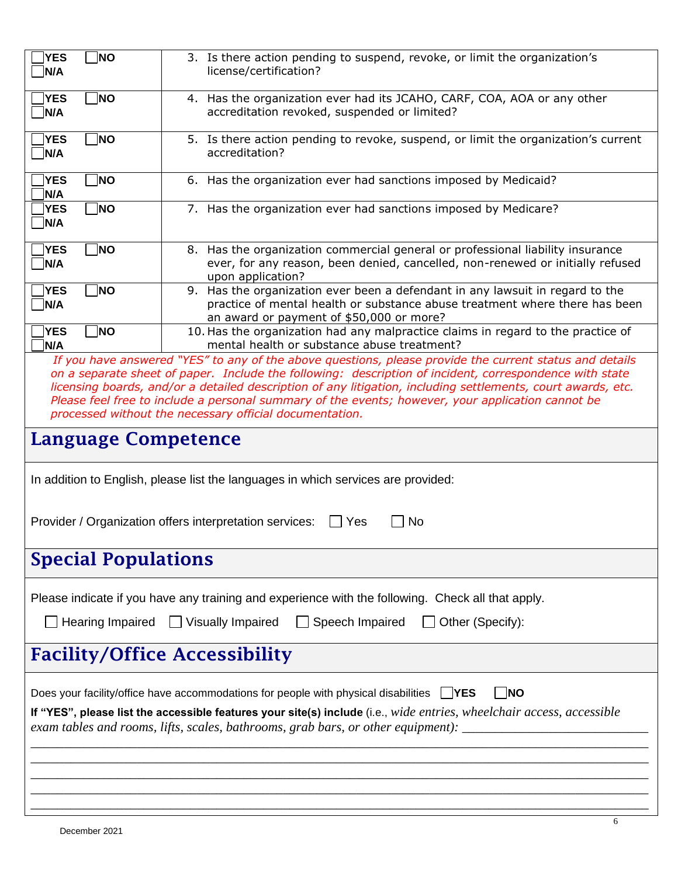| <b>YES</b><br>N/A                                                                                                                                                                                                                                                                                                                                                                                                                                                                                  | <b>NO</b>                  | 3. Is there action pending to suspend, revoke, or limit the organization's<br>license/certification?                                                                                                                                                                                                                                                       |  |  |  |
|----------------------------------------------------------------------------------------------------------------------------------------------------------------------------------------------------------------------------------------------------------------------------------------------------------------------------------------------------------------------------------------------------------------------------------------------------------------------------------------------------|----------------------------|------------------------------------------------------------------------------------------------------------------------------------------------------------------------------------------------------------------------------------------------------------------------------------------------------------------------------------------------------------|--|--|--|
| <b>YES</b><br>N/A                                                                                                                                                                                                                                                                                                                                                                                                                                                                                  | <b>NO</b>                  | 4. Has the organization ever had its JCAHO, CARF, COA, AOA or any other<br>accreditation revoked, suspended or limited?                                                                                                                                                                                                                                    |  |  |  |
| <b>YES</b><br>N/A                                                                                                                                                                                                                                                                                                                                                                                                                                                                                  | <b>NO</b>                  | 5. Is there action pending to revoke, suspend, or limit the organization's current<br>accreditation?                                                                                                                                                                                                                                                       |  |  |  |
| <b>YES</b><br>N/A                                                                                                                                                                                                                                                                                                                                                                                                                                                                                  | <b>NO</b>                  | 6. Has the organization ever had sanctions imposed by Medicaid?                                                                                                                                                                                                                                                                                            |  |  |  |
| <b>YES</b><br>N/A                                                                                                                                                                                                                                                                                                                                                                                                                                                                                  | NO                         | 7. Has the organization ever had sanctions imposed by Medicare?                                                                                                                                                                                                                                                                                            |  |  |  |
| <b>YES</b><br>N/A                                                                                                                                                                                                                                                                                                                                                                                                                                                                                  | <b>NO</b>                  | 8. Has the organization commercial general or professional liability insurance<br>ever, for any reason, been denied, cancelled, non-renewed or initially refused<br>upon application?                                                                                                                                                                      |  |  |  |
| <b>YES</b><br>N/A                                                                                                                                                                                                                                                                                                                                                                                                                                                                                  | <b>NO</b>                  | 9. Has the organization ever been a defendant in any lawsuit in regard to the<br>practice of mental health or substance abuse treatment where there has been<br>an award or payment of \$50,000 or more?                                                                                                                                                   |  |  |  |
| <b>YES</b><br>N/A                                                                                                                                                                                                                                                                                                                                                                                                                                                                                  | <b>NO</b>                  | 10. Has the organization had any malpractice claims in regard to the practice of<br>mental health or substance abuse treatment?                                                                                                                                                                                                                            |  |  |  |
| If you have answered "YES" to any of the above questions, please provide the current status and details<br>on a separate sheet of paper. Include the following: description of incident, correspondence with state<br>licensing boards, and/or a detailed description of any litigation, including settlements, court awards, etc.<br>Please feel free to include a personal summary of the events; however, your application cannot be<br>processed without the necessary official documentation. |                            |                                                                                                                                                                                                                                                                                                                                                            |  |  |  |
| Language Competence                                                                                                                                                                                                                                                                                                                                                                                                                                                                                |                            |                                                                                                                                                                                                                                                                                                                                                            |  |  |  |
|                                                                                                                                                                                                                                                                                                                                                                                                                                                                                                    |                            | In addition to English, please list the languages in which services are provided:                                                                                                                                                                                                                                                                          |  |  |  |
|                                                                                                                                                                                                                                                                                                                                                                                                                                                                                                    |                            | Provider / Organization offers interpretation services:<br>Yes<br>No.                                                                                                                                                                                                                                                                                      |  |  |  |
|                                                                                                                                                                                                                                                                                                                                                                                                                                                                                                    | <b>Special Populations</b> |                                                                                                                                                                                                                                                                                                                                                            |  |  |  |
|                                                                                                                                                                                                                                                                                                                                                                                                                                                                                                    |                            | Please indicate if you have any training and experience with the following. Check all that apply.                                                                                                                                                                                                                                                          |  |  |  |
| Hearing Impaired<br>$\Box$ Visually Impaired<br>□ Speech Impaired<br>Other (Specify):                                                                                                                                                                                                                                                                                                                                                                                                              |                            |                                                                                                                                                                                                                                                                                                                                                            |  |  |  |
| <b>Facility/Office Accessibility</b>                                                                                                                                                                                                                                                                                                                                                                                                                                                               |                            |                                                                                                                                                                                                                                                                                                                                                            |  |  |  |
|                                                                                                                                                                                                                                                                                                                                                                                                                                                                                                    |                            | Does your facility/office have accommodations for people with physical disabilities<br><b>NO</b><br>$\vert$ YES<br>If "YES", please list the accessible features your site(s) include (i.e., wide entries, wheelchair access, accessible<br>exam tables and rooms, lifts, scales, bathrooms, grab bars, or other equipment): _____________________________ |  |  |  |
|                                                                                                                                                                                                                                                                                                                                                                                                                                                                                                    |                            |                                                                                                                                                                                                                                                                                                                                                            |  |  |  |

*\_\_\_\_\_\_\_\_\_\_\_\_\_\_\_\_\_\_\_\_\_\_\_\_\_\_\_\_\_\_\_\_\_\_\_\_\_\_\_\_\_\_\_\_\_\_\_\_\_\_\_\_\_\_\_\_\_\_\_\_\_\_\_\_\_\_\_\_\_\_\_\_\_\_\_\_\_\_\_\_\_\_\_\_\_\_\_\_\_\_\_\_\_*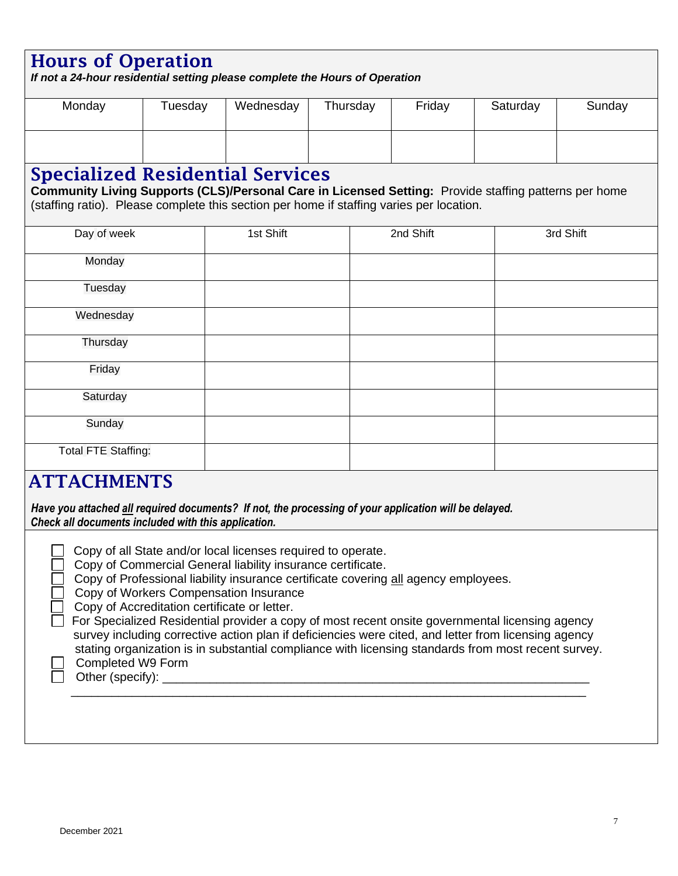## Hours of Operation

*If not a 24-hour residential setting please complete the Hours of Operation*

| Monday | Tuesday | Wednesday | Thursday | Friday | Saturday | Sunday |
|--------|---------|-----------|----------|--------|----------|--------|
|        |         |           |          |        |          |        |

### Specialized Residential Services

**Community Living Supports (CLS)/Personal Care in Licensed Setting:** Provide staffing patterns per home (staffing ratio). Please complete this section per home if staffing varies per location.

| Day of week                                                             | 1st Shift | 2nd Shift | 3rd Shift |
|-------------------------------------------------------------------------|-----------|-----------|-----------|
| Monday                                                                  |           |           |           |
| Tuesday                                                                 |           |           |           |
| Wednesday                                                               |           |           |           |
| Thursday                                                                |           |           |           |
| Friday                                                                  |           |           |           |
| Saturday                                                                |           |           |           |
| Sunday                                                                  |           |           |           |
| <b>Total FTE Staffing:</b>                                              |           |           |           |
| $\overline{a}$ compared and $\overline{a}$ contracts and $\overline{a}$ |           |           |           |

### ATTACHMENTS

*In Have you attached all required documents? If not, the processing of your application will be delayed. Check all documents included with this application.* 

- Copy of Commercial General liability insurance certificate.
- Copy of Professional liability insurance certificate covering all agency employees.
- Copy of Workers Compensation Insurance
- Copy of Accreditation certificate or letter.

| For Specialized Residential provider a copy of most recent onsite governmental licensing agency      |
|------------------------------------------------------------------------------------------------------|
| survey including corrective action plan if deficiencies were cited, and letter from licensing agency |
| stating organization is in substantial compliance with licensing standards from most recent survey.  |

\_\_\_\_\_\_\_\_\_\_\_\_\_\_\_\_\_\_\_\_\_\_\_\_\_\_\_\_\_\_\_\_\_\_\_\_\_\_\_\_\_\_\_\_\_\_\_\_\_\_\_\_\_\_\_\_\_\_\_\_\_\_\_\_\_\_\_\_\_\_\_\_\_\_\_\_

Completed W9 Form

Other (specify):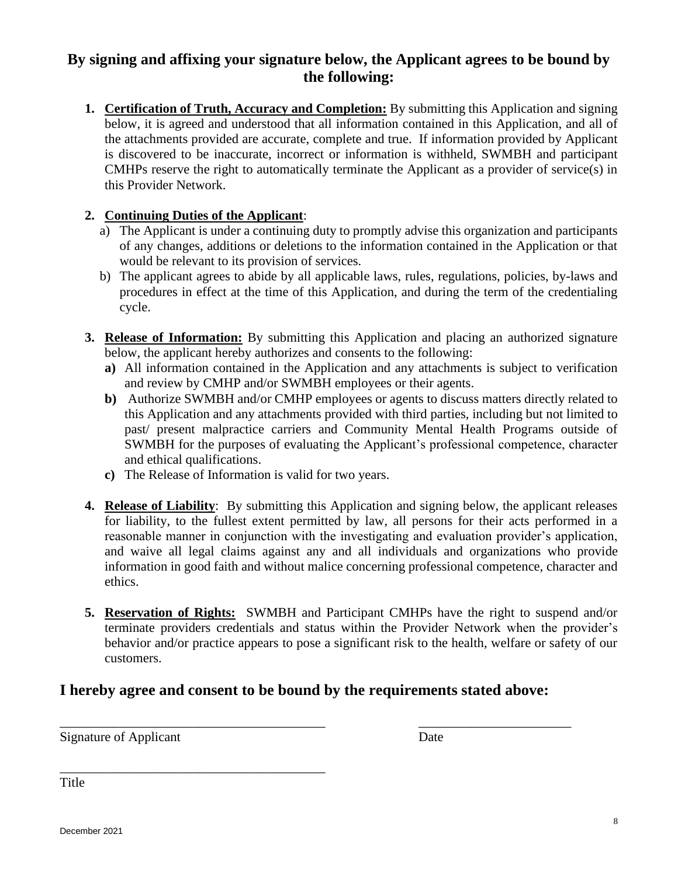#### **By signing and affixing your signature below, the Applicant agrees to be bound by the following:**

**1. Certification of Truth, Accuracy and Completion:** By submitting this Application and signing below, it is agreed and understood that all information contained in this Application, and all of the attachments provided are accurate, complete and true. If information provided by Applicant is discovered to be inaccurate, incorrect or information is withheld, SWMBH and participant CMHPs reserve the right to automatically terminate the Applicant as a provider of service(s) in this Provider Network.

#### **2. Continuing Duties of the Applicant**:

- a) The Applicant is under a continuing duty to promptly advise this organization and participants of any changes, additions or deletions to the information contained in the Application or that would be relevant to its provision of services.
- b) The applicant agrees to abide by all applicable laws, rules, regulations, policies, by-laws and procedures in effect at the time of this Application, and during the term of the credentialing cycle.
- **3. Release of Information:** By submitting this Application and placing an authorized signature below, the applicant hereby authorizes and consents to the following:
	- **a)** All information contained in the Application and any attachments is subject to verification and review by CMHP and/or SWMBH employees or their agents.
	- **b)** Authorize SWMBH and/or CMHP employees or agents to discuss matters directly related to this Application and any attachments provided with third parties, including but not limited to past/ present malpractice carriers and Community Mental Health Programs outside of SWMBH for the purposes of evaluating the Applicant's professional competence, character and ethical qualifications.
	- **c)** The Release of Information is valid for two years.
- **4. Release of Liability**: By submitting this Application and signing below, the applicant releases for liability, to the fullest extent permitted by law, all persons for their acts performed in a reasonable manner in conjunction with the investigating and evaluation provider's application, and waive all legal claims against any and all individuals and organizations who provide information in good faith and without malice concerning professional competence, character and ethics.
- **5. Reservation of Rights:** SWMBH and Participant CMHPs have the right to suspend and/or terminate providers credentials and status within the Provider Network when the provider's behavior and/or practice appears to pose a significant risk to the health, welfare or safety of our customers.

#### **I hereby agree and consent to be bound by the requirements stated above:**

\_\_\_\_\_\_\_\_\_\_\_\_\_\_\_\_\_\_\_\_\_\_\_\_\_\_\_\_\_\_\_\_\_\_\_\_\_\_\_\_ \_\_\_\_\_\_\_\_\_\_\_\_\_\_\_\_\_\_\_\_\_\_\_

Signature of Applicant Date

\_\_\_\_\_\_\_\_\_\_\_\_\_\_\_\_\_\_\_\_\_\_\_\_\_\_\_\_\_\_\_\_\_\_\_\_\_\_\_\_

Title